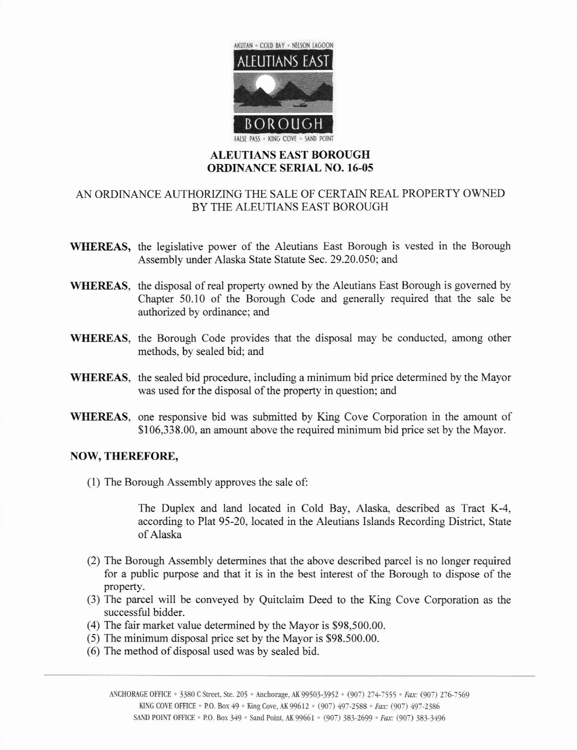

## ALEUTIANS EAST BOROUGH ORDINANCE SERIAL NO. 16.05

## AN ORDINANCE AUTHORIZING THE SALE OF CERTAIN REAL PROPERTY OWNED BY THE ALEUTIANS EAST BOROUGH

- WHEREAS, the legislative power of the Aleutians East Borough is vested in the Borough Assembly under Alaska State Statute Sec. 29.20.050; and
- WHEREAS, the disposal of real property owned by the Aleutians East Borough is governed by Chapter 50.10 of the Borough Code and generally required that the sale be authorized by ordinance; and
- WHEREAS, the Borough Code provides that the disposal may be conducted, among other methods, by sealed bid; and
- WHEREAS, the sealed bid procedure, including a minimum bid price determined by the Mayor was used for the disposal of the property in question; and
- WHEREAS, one responsive bid was submitted by King Cove Corporation in the amount of \$106,338.00, an amount above the required minimum bid price set by the Mayor.

## NOW,THEREFORE,

(1) The Borough Assembly approves the sale of:

The Duplex and land located in Cold Bay, Alaska, described as Tract K-4, according to Plat 95-20, located in the Aleutians Islands Recording District, State of Alaska

- (2) The Borough Assembly determines that the above described parcel is no longer required for a public purpose and that it is in the best interest of the Borough to dispose of the property.
- (3) The parcel will be conveyed by Quitclaim Deed to the King Cove Corporation as the successful bidder.
- (4) The fair market value determined by the Mayor is \$98,500.00.
- (5) The minimum disposal price set by the Mayor is \$98.500.00.
- $(6)$  The method of disposal used was by sealed bid.